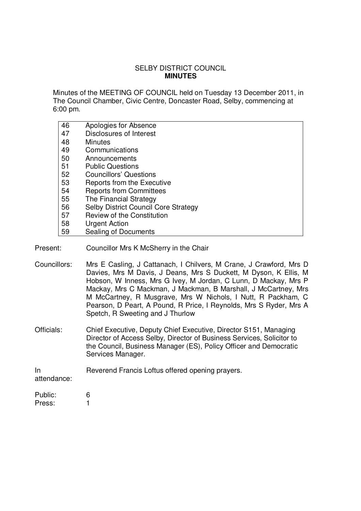## SELBY DISTRICT COUNCIL **MINUTES**

Minutes of the MEETING OF COUNCIL held on Tuesday 13 December 2011, in The Council Chamber, Civic Centre, Doncaster Road, Selby, commencing at 6:00 pm.

| 46 | Apologies for Absence                       |
|----|---------------------------------------------|
| 47 | Disclosures of Interest                     |
| 48 | <b>Minutes</b>                              |
| 49 | Communications                              |
| 50 | Announcements                               |
| 51 | <b>Public Questions</b>                     |
| 52 | <b>Councillors' Questions</b>               |
| 53 | Reports from the Executive                  |
| 54 | <b>Reports from Committees</b>              |
| 55 | The Financial Strategy                      |
| 56 | <b>Selby District Council Core Strategy</b> |
| 57 | <b>Review of the Constitution</b>           |
| 58 | <b>Urgent Action</b>                        |
| 59 | Sealing of Documents                        |

- Present: Councillor Mrs K McSherry in the Chair
- Councillors: Mrs E Casling, J Cattanach, I Chilvers, M Crane, J Crawford, Mrs D Davies, Mrs M Davis, J Deans, Mrs S Duckett, M Dyson, K Ellis, M Hobson, W Inness, Mrs G Ivey, M Jordan, C Lunn, D Mackay, Mrs P Mackay, Mrs C Mackman, J Mackman, B Marshall, J McCartney, Mrs M McCartney, R Musgrave, Mrs W Nichols, I Nutt, R Packham, C Pearson, D Peart, A Pound, R Price, I Reynolds, Mrs S Ryder, Mrs A Spetch, R Sweeting and J Thurlow
- Officials: Chief Executive, Deputy Chief Executive, Director S151, Managing Director of Access Selby, Director of Business Services, Solicitor to the Council, Business Manager (ES), Policy Officer and Democratic Services Manager.

In Reverend Francis Loftus offered opening prayers.

attendance:

| Public: | 6 |
|---------|---|
| Press:  |   |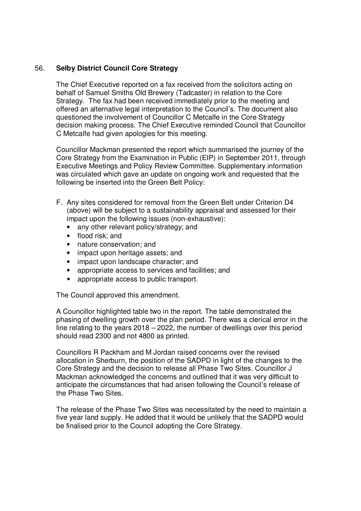## 56. **Selby District Council Core Strategy**

The Chief Executive reported on a fax received from the solicitors acting on behalf of Samuel Smiths Old Brewery (Tadcaster) in relation to the Core Strategy. The fax had been received immediately prior to the meeting and offered an alternative legal interpretation to the Council's. The document also questioned the involvement of Councillor C Metcalfe in the Core Strategy decision making process. The Chief Executive reminded Council that Councillor C Metcalfe had given apologies for this meeting.

Councillor Mackman presented the report which summarised the journey of the Core Strategy from the Examination in Public (EIP) in September 2011, through Executive Meetings and Policy Review Committee. Supplementary information was circulated which gave an update on ongoing work and requested that the following be inserted into the Green Belt Policy:

- F. Any sites considered for removal from the Green Belt under Criterion D4 (above) will be subject to a sustainability appraisal and assessed for their impact upon the following issues (non-exhaustive):
	- any other relevant policy/strategy; and
	- flood risk; and
	- nature conservation; and
	- impact upon heritage assets; and
	- impact upon landscape character; and
	- appropriate access to services and facilities; and
	- appropriate access to public transport.

The Council approved this amendment.

A Councillor highlighted table two in the report. The table demonstrated the phasing of dwelling growth over the plan period. There was a clerical error in the line relating to the years 2018 – 2022, the number of dwellings over this period should read 2300 and not 4800 as printed.

Councillors R Packham and M Jordan raised concerns over the revised allocation in Sherburn, the position of the SADPD in light of the changes to the Core Strategy and the decision to release all Phase Two Sites. Councillor J Mackman acknowledged the concerns and outlined that it was very difficult to anticipate the circumstances that had arisen following the Council's release of the Phase Two Sites.

The release of the Phase Two Sites was necessitated by the need to maintain a five year land supply. He added that it would be unlikely that the SADPD would be finalised prior to the Council adopting the Core Strategy.